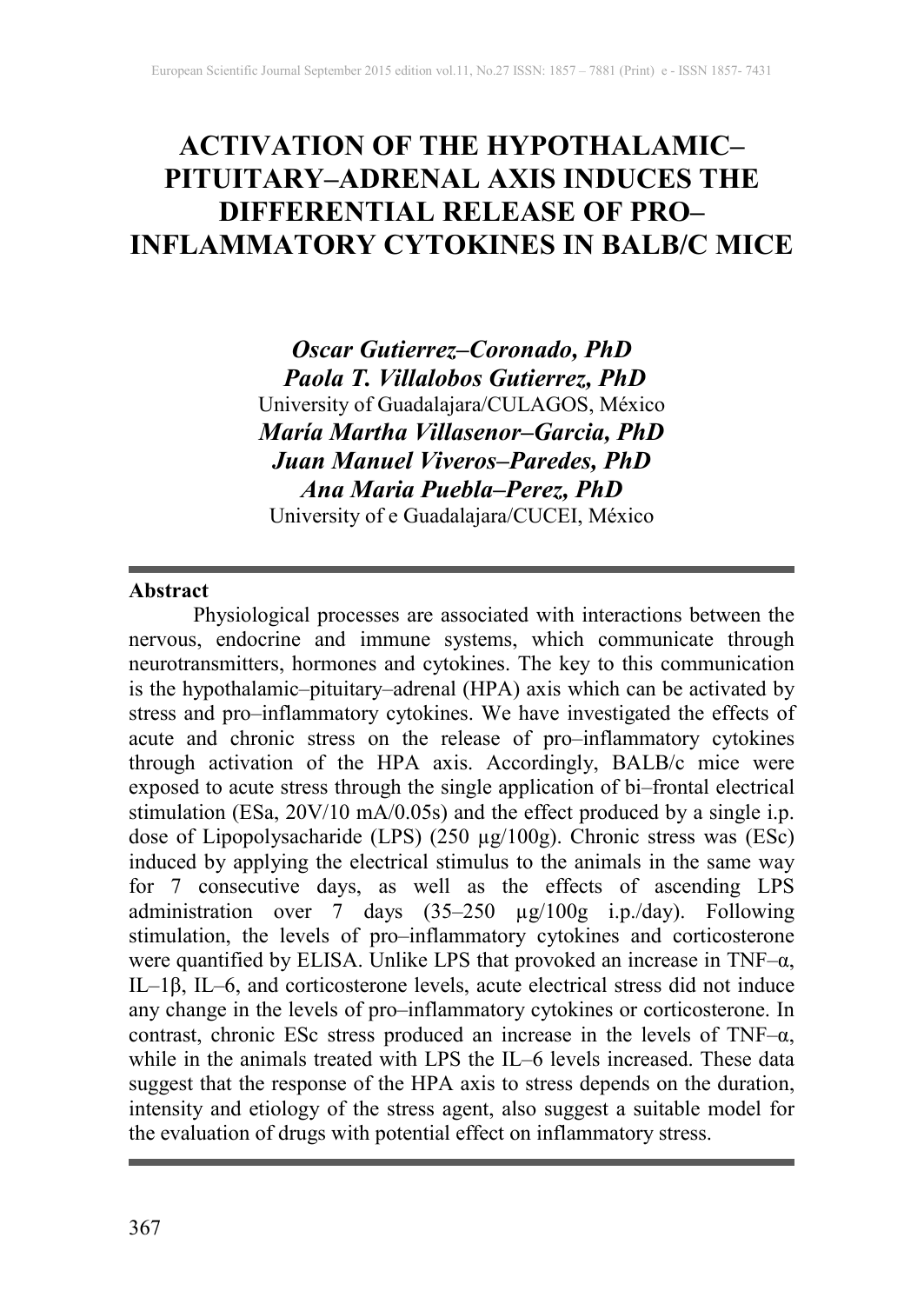# **ACTIVATION OF THE HYPOTHALAMIC– PITUITARY–ADRENAL AXIS INDUCES THE DIFFERENTIAL RELEASE OF PRO– INFLAMMATORY CYTOKINES IN BALB/C MICE**

*Oscar Gutierrez–Coronado, PhD Paola T. Villalobos Gutierrez, PhD* University of Guadalajara/CULAGOS, México *María Martha Villasenor–Garcia, PhD Juan Manuel Viveros–Paredes, PhD Ana Maria Puebla–Perez, PhD*

University of e Guadalajara/CUCEI, México

### **Abstract**

Physiological processes are associated with interactions between the nervous, endocrine and immune systems, which communicate through neurotransmitters, hormones and cytokines. The key to this communication is the hypothalamic–pituitary–adrenal (HPA) axis which can be activated by stress and pro–inflammatory cytokines. We have investigated the effects of acute and chronic stress on the release of pro–inflammatory cytokines through activation of the HPA axis. Accordingly, BALB/c mice were exposed to acute stress through the single application of bi–frontal electrical stimulation (ESa, 20V/10 mA/0.05s) and the effect produced by a single i.p. dose of Lipopolysacharide (LPS) (250 µg/100g). Chronic stress was (ESc) induced by applying the electrical stimulus to the animals in the same way for 7 consecutive days, as well as the effects of ascending LPS administration over 7 days (35–250 µg/100g i.p./day). Following stimulation, the levels of pro–inflammatory cytokines and corticosterone were quantified by ELISA. Unlike LPS that provoked an increase in TNF–α, IL–1β, IL–6, and corticosterone levels, acute electrical stress did not induce any change in the levels of pro–inflammatory cytokines or corticosterone. In contrast, chronic ESc stress produced an increase in the levels of TNF–α, while in the animals treated with LPS the IL–6 levels increased. These data suggest that the response of the HPA axis to stress depends on the duration, intensity and etiology of the stress agent, also suggest a suitable model for the evaluation of drugs with potential effect on inflammatory stress.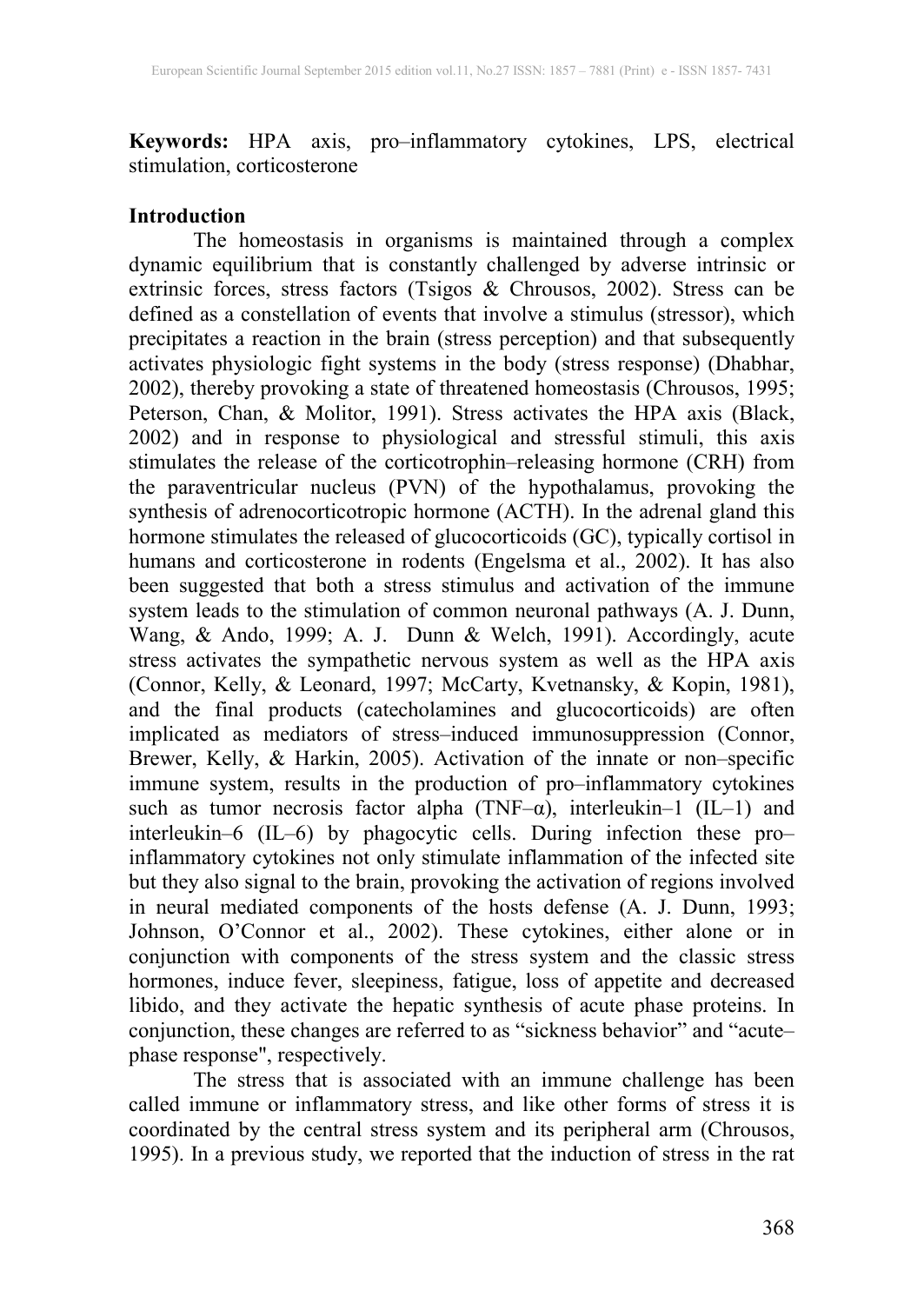**Keywords:** HPA axis, pro–inflammatory cytokines, LPS, electrical stimulation, corticosterone

### **Introduction**

The homeostasis in organisms is maintained through a complex dynamic equilibrium that is constantly challenged by adverse intrinsic or extrinsic forces, stress factors (Tsigos & Chrousos, 2002). Stress can be defined as a constellation of events that involve a stimulus (stressor), which precipitates a reaction in the brain (stress perception) and that subsequently activates physiologic fight systems in the body (stress response) (Dhabhar, 2002), thereby provoking a state of threatened homeostasis (Chrousos, 1995; Peterson, Chan, & Molitor, 1991). Stress activates the HPA axis (Black, 2002) and in response to physiological and stressful stimuli, this axis stimulates the release of the corticotrophin–releasing hormone (CRH) from the paraventricular nucleus (PVN) of the hypothalamus, provoking the synthesis of adrenocorticotropic hormone (ACTH). In the adrenal gland this hormone stimulates the released of glucocorticoids (GC), typically cortisol in humans and corticosterone in rodents (Engelsma et al., 2002). It has also been suggested that both a stress stimulus and activation of the immune system leads to the stimulation of common neuronal pathways (A. J. Dunn, Wang, & Ando, 1999; A. J. Dunn & Welch, 1991). Accordingly, acute stress activates the sympathetic nervous system as well as the HPA axis (Connor, Kelly, & Leonard, 1997; McCarty, Kvetnansky, & Kopin, 1981), and the final products (catecholamines and glucocorticoids) are often implicated as mediators of stress–induced immunosuppression (Connor, Brewer, Kelly, & Harkin, 2005). Activation of the innate or non–specific immune system, results in the production of pro–inflammatory cytokines such as tumor necrosis factor alpha (TNF– $\alpha$ ), interleukin–1 (IL–1) and interleukin–6 (IL–6) by phagocytic cells. During infection these pro– inflammatory cytokines not only stimulate inflammation of the infected site but they also signal to the brain, provoking the activation of regions involved in neural mediated components of the hosts defense (A. J. Dunn, 1993; Johnson, O'Connor et al., 2002). These cytokines, either alone or in conjunction with components of the stress system and the classic stress hormones, induce fever, sleepiness, fatigue, loss of appetite and decreased libido, and they activate the hepatic synthesis of acute phase proteins. In conjunction, these changes are referred to as "sickness behavior" and "acute– phase response", respectively.

The stress that is associated with an immune challenge has been called immune or inflammatory stress, and like other forms of stress it is coordinated by the central stress system and its peripheral arm (Chrousos, 1995). In a previous study, we reported that the induction of stress in the rat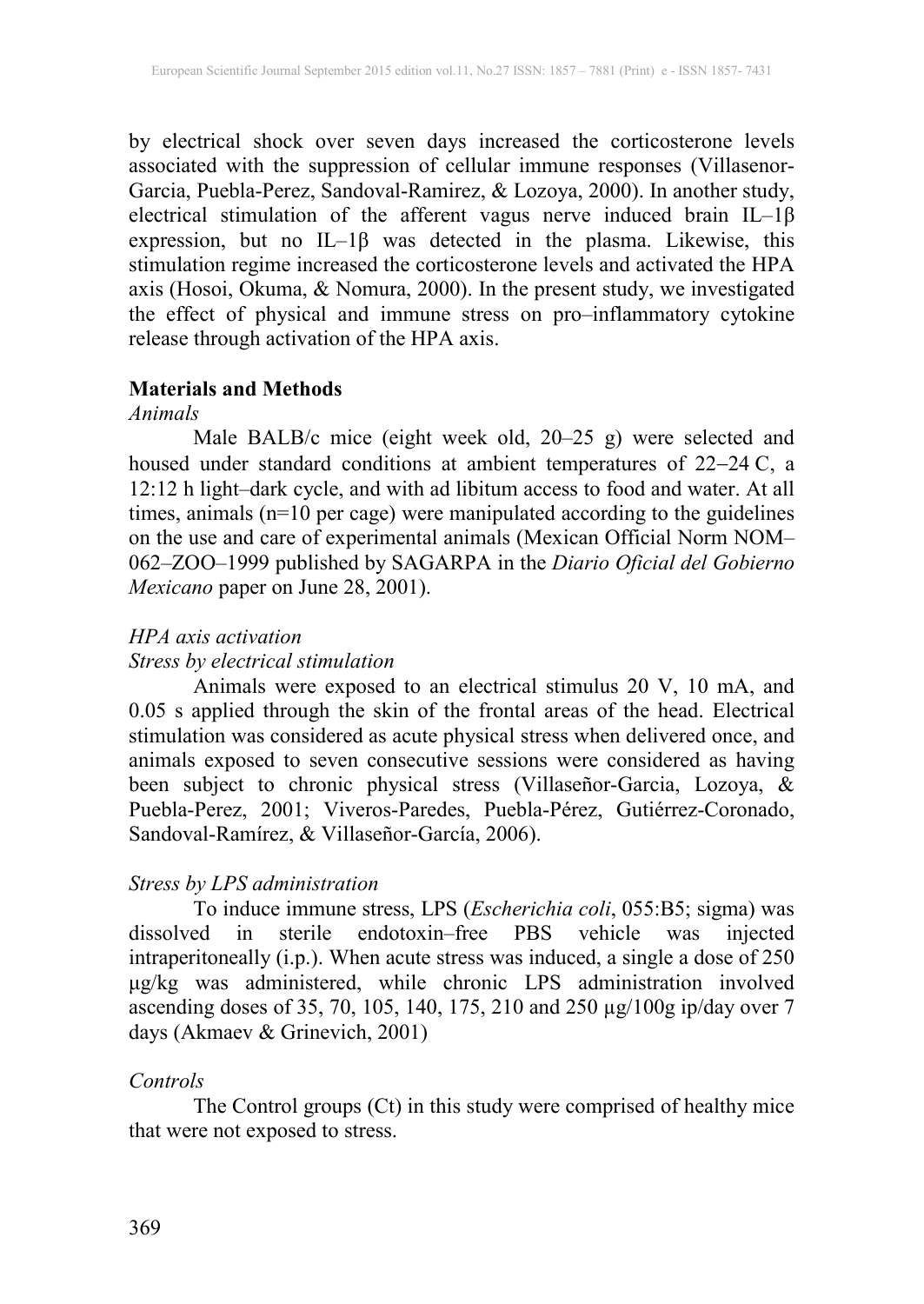by electrical shock over seven days increased the corticosterone levels associated with the suppression of cellular immune responses (Villasenor-Garcia, Puebla-Perez, Sandoval-Ramirez, & Lozoya, 2000). In another study, electrical stimulation of the afferent vagus nerve induced brain IL–1β expression, but no IL–1β was detected in the plasma. Likewise, this stimulation regime increased the corticosterone levels and activated the HPA axis (Hosoi, Okuma, & Nomura, 2000). In the present study, we investigated the effect of physical and immune stress on pro–inflammatory cytokine release through activation of the HPA axis.

### **Materials and Methods**

#### *Animals*

Male BALB/c mice (eight week old, 20–25 g) were selected and housed under standard conditions at ambient temperatures of 22–24 C, a 12:12 h light–dark cycle, and with ad libitum access to food and water. At all times, animals (n=10 per cage) were manipulated according to the guidelines on the use and care of experimental animals (Mexican Official Norm NOM– 062–ZOO–1999 published by SAGARPA in the *Diario Oficial del Gobierno Mexicano* paper on June 28, 2001).

### *HPA axis activation*

# *Stress by electrical stimulation*

Animals were exposed to an electrical stimulus 20 V, 10 mA, and 0.05 s applied through the skin of the frontal areas of the head. Electrical stimulation was considered as acute physical stress when delivered once, and animals exposed to seven consecutive sessions were considered as having been subject to chronic physical stress (Villaseñor-Garcia, Lozoya, & Puebla-Perez, 2001; Viveros-Paredes, Puebla-Pérez, Gutiérrez-Coronado, Sandoval-Ramírez, & Villaseñor-García, 2006).

### *Stress by LPS administration*

To induce immune stress, LPS (*Escherichia coli*, 055:B5; sigma) was ed in sterile endotoxin–free PBS vehicle was injected dissolved in sterile endotoxin–free PBS vehicle was intraperitoneally (i.p.). When acute stress was induced, a single a dose of 250 μg/kg was administered, while chronic LPS administration involved ascending doses of 35, 70, 105, 140, 175, 210 and 250 µg/100g ip/day over 7 days (Akmaev & Grinevich, 2001)

### *Controls*

The Control groups (Ct) in this study were comprised of healthy mice that were not exposed to stress.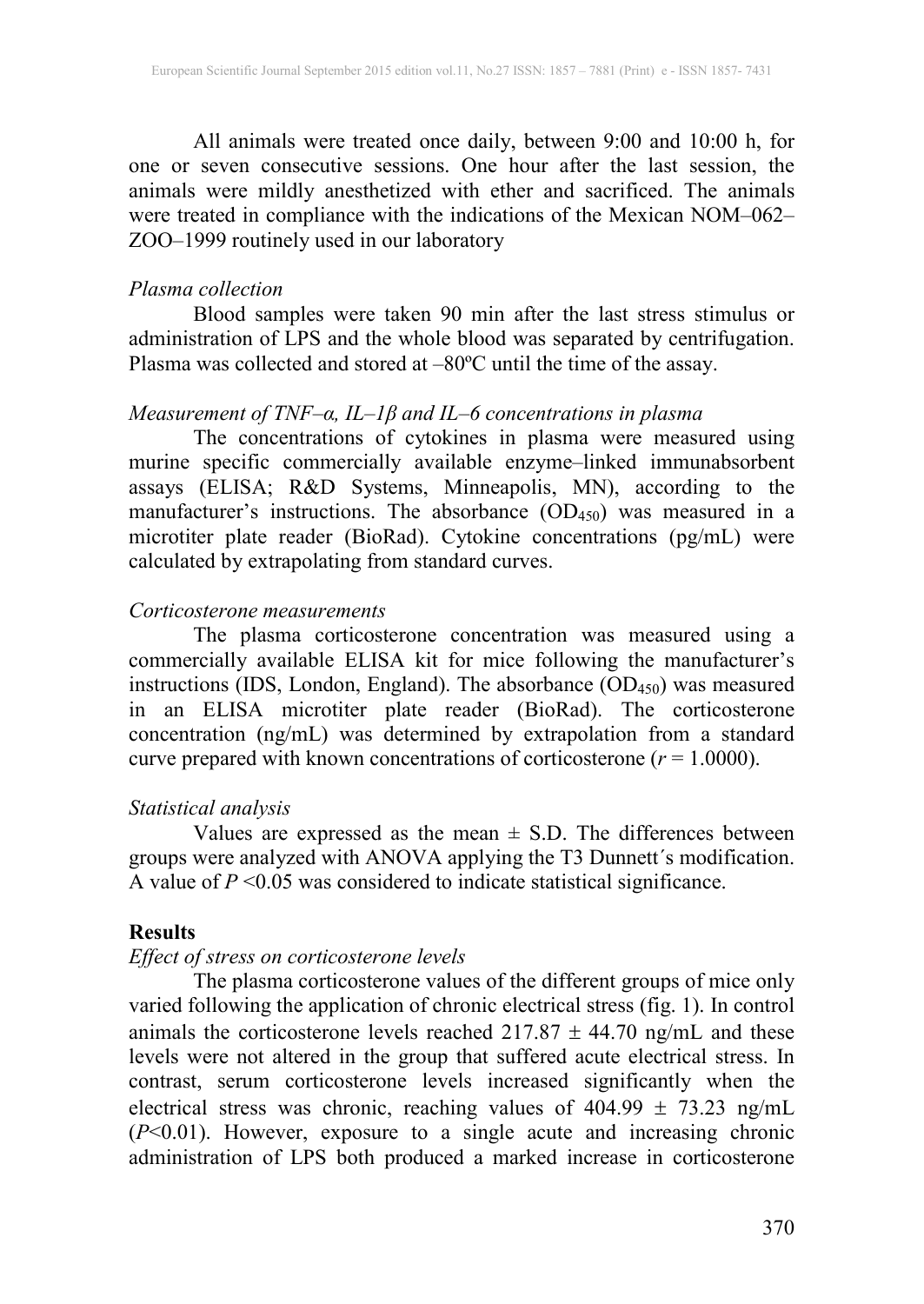All animals were treated once daily, between 9:00 and 10:00 h, for one or seven consecutive sessions. One hour after the last session, the animals were mildly anesthetized with ether and sacrificed. The animals were treated in compliance with the indications of the Mexican NOM–062– ZOO–1999 routinely used in our laboratory

### *Plasma collection*

Blood samples were taken 90 min after the last stress stimulus or administration of LPS and the whole blood was separated by centrifugation. Plasma was collected and stored at –80ºC until the time of the assay.

## *Measurement of TNF–α, IL–1β and IL–6 concentrations in plasma*

The concentrations of cytokines in plasma were measured using murine specific commercially available enzyme–linked immunabsorbent assays (ELISA; R&D Systems, Minneapolis, MN), according to the manufacturer's instructions. The absorbance  $(OD_{450})$  was measured in a microtiter plate reader (BioRad). Cytokine concentrations (pg/mL) were calculated by extrapolating from standard curves.

### *Corticosterone measurements*

The plasma corticosterone concentration was measured using a commercially available ELISA kit for mice following the manufacturer's instructions (IDS, London, England). The absorbance  $(OD_{450})$  was measured in an ELISA microtiter plate reader (BioRad). The corticosterone concentration (ng/mL) was determined by extrapolation from a standard curve prepared with known concentrations of corticosterone ( $r = 1.0000$ ).

### *Statistical analysis*

Values are expressed as the mean  $\pm$  S.D. The differences between groups were analyzed with ANOVA applying the T3 Dunnett´s modification. A value of *P* <0.05 was considered to indicate statistical significance.

### **Results**

### *Effect of stress on corticosterone levels*

The plasma corticosterone values of the different groups of mice only varied following the application of chronic electrical stress (fig. 1). In control animals the corticosterone levels reached  $217.87 \pm 44.70$  ng/mL and these levels were not altered in the group that suffered acute electrical stress. In contrast, serum corticosterone levels increased significantly when the electrical stress was chronic, reaching values of  $404.99 \pm 73.23$  ng/mL (*P*<0.01). However, exposure to a single acute and increasing chronic administration of LPS both produced a marked increase in corticosterone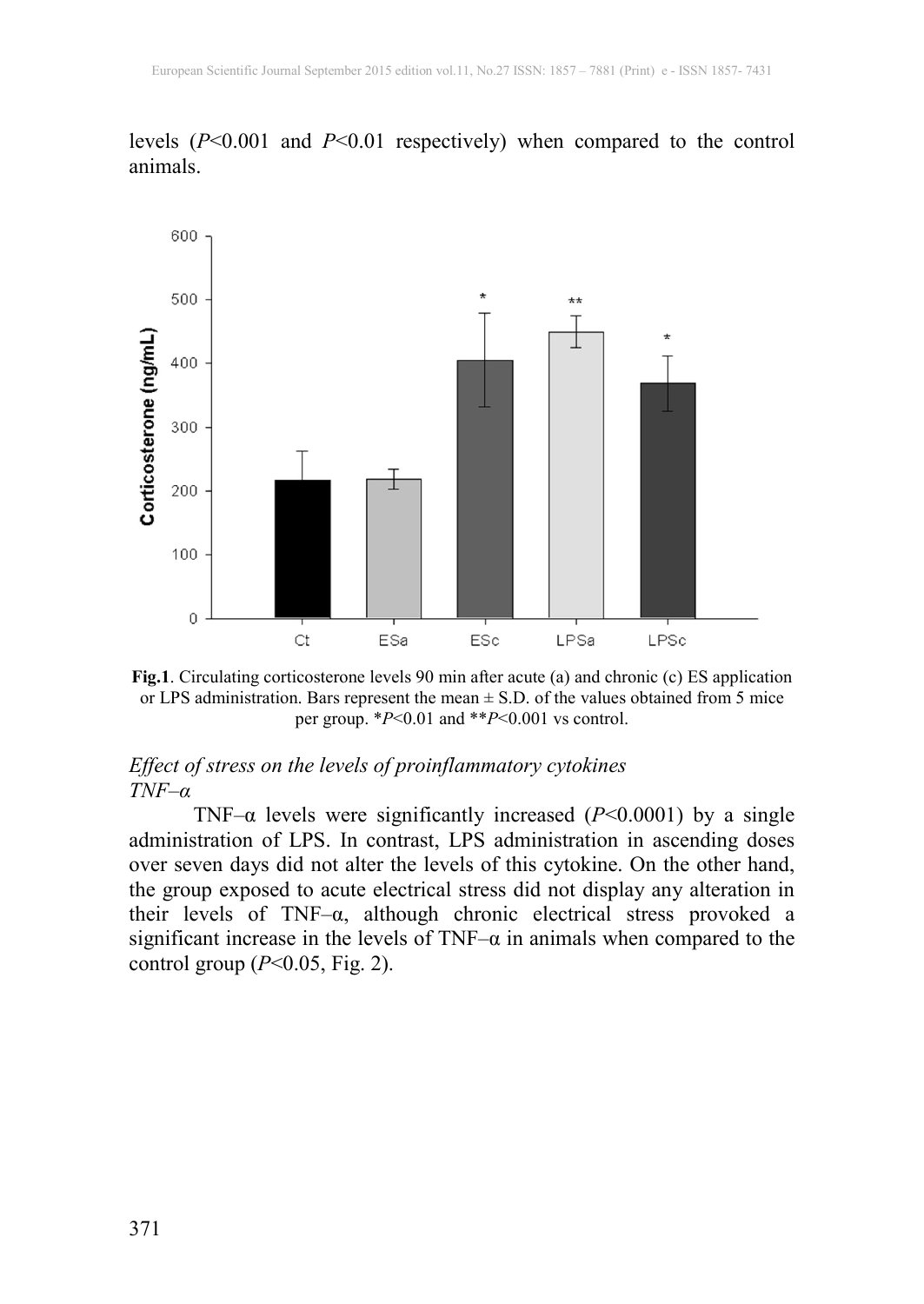levels (*P*<0.001 and *P*<0.01 respectively) when compared to the control animals.



**Fig.1**. Circulating corticosterone levels 90 min after acute (a) and chronic (c) ES application or LPS administration. Bars represent the mean  $\pm$  S.D. of the values obtained from 5 mice per group. \**P*<0.01 and \*\**P*<0.001 vs control.

### *Effect of stress on the levels of proinflammatory cytokines TNF–α*

TNF– $\alpha$  levels were significantly increased ( $P < 0.0001$ ) by a single administration of LPS. In contrast, LPS administration in ascending doses over seven days did not alter the levels of this cytokine. On the other hand, the group exposed to acute electrical stress did not display any alteration in their levels of TNF–α, although chronic electrical stress provoked a significant increase in the levels of TNF– $\alpha$  in animals when compared to the control group (*P*<0.05, Fig. 2).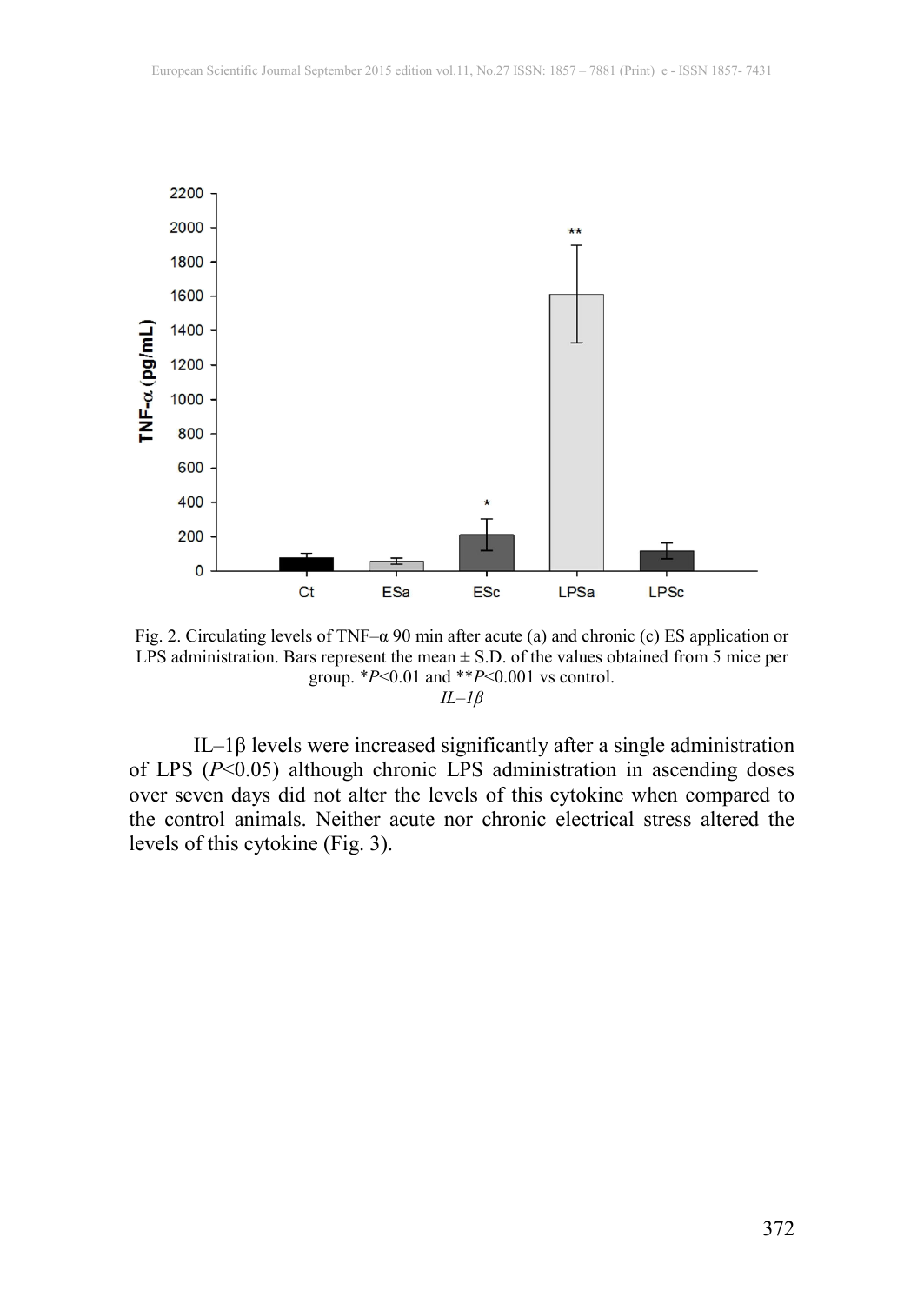

Fig. 2. Circulating levels of TNF– $\alpha$  90 min after acute (a) and chronic (c) ES application or LPS administration. Bars represent the mean  $\pm$  S.D. of the values obtained from 5 mice per group. \**P*<0.01 and \*\**P*<0.001 vs control. *IL–1β*

IL–1β levels were increased significantly after a single administration of LPS (*P*<0.05) although chronic LPS administration in ascending doses over seven days did not alter the levels of this cytokine when compared to the control animals. Neither acute nor chronic electrical stress altered the levels of this cytokine (Fig. 3).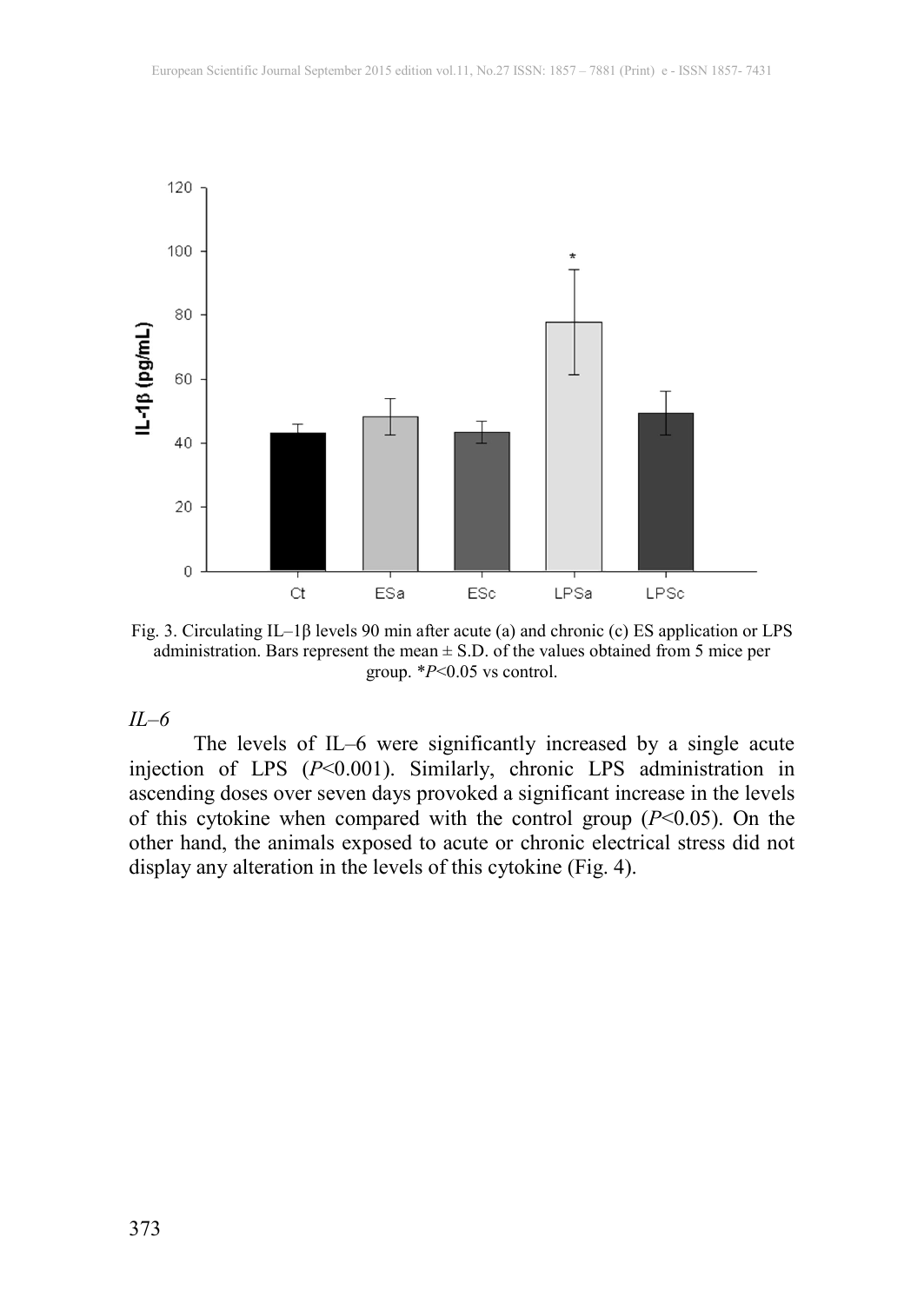

Fig. 3. Circulating IL–1β levels 90 min after acute (a) and chronic (c) ES application or LPS administration. Bars represent the mean  $\pm$  S.D. of the values obtained from 5 mice per group. \**P*<0.05 vs control.

*IL–6*

The levels of IL–6 were significantly increased by a single acute injection of LPS (*P*<0.001). Similarly, chronic LPS administration in ascending doses over seven days provoked a significant increase in the levels of this cytokine when compared with the control group (*P*<0.05). On the other hand, the animals exposed to acute or chronic electrical stress did not display any alteration in the levels of this cytokine (Fig. 4).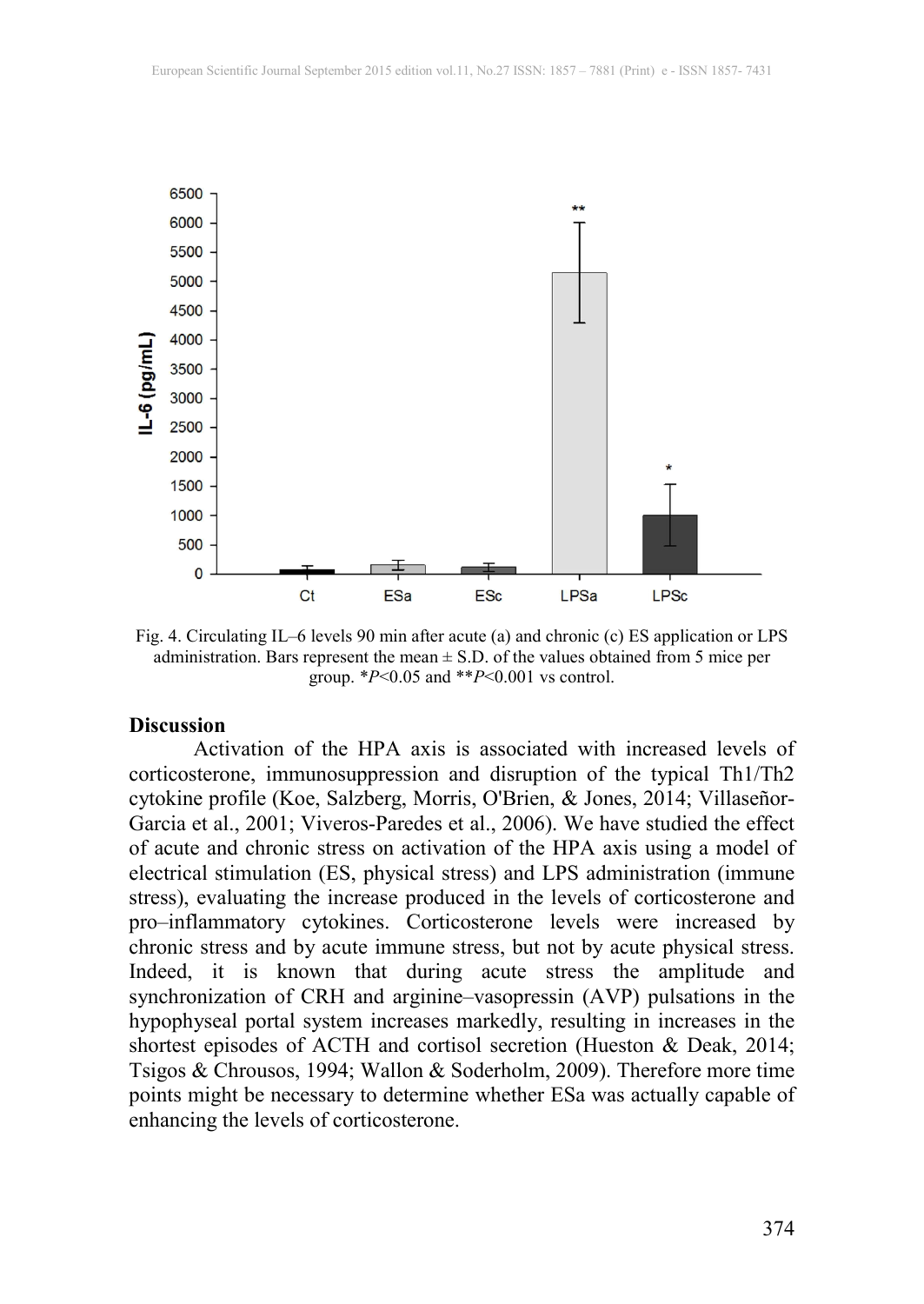

Fig. 4. Circulating IL–6 levels 90 min after acute (a) and chronic (c) ES application or LPS administration. Bars represent the mean  $\pm$  S.D. of the values obtained from 5 mice per group. \**P*<0.05 and \*\**P*<0.001 vs control.

#### **Discussion**

Activation of the HPA axis is associated with increased levels of corticosterone, immunosuppression and disruption of the typical Th1/Th2 cytokine profile (Koe, Salzberg, Morris, O'Brien, & Jones, 2014; Villaseñor-Garcia et al., 2001; Viveros-Paredes et al., 2006). We have studied the effect of acute and chronic stress on activation of the HPA axis using a model of electrical stimulation (ES, physical stress) and LPS administration (immune stress), evaluating the increase produced in the levels of corticosterone and pro–inflammatory cytokines. Corticosterone levels were increased by chronic stress and by acute immune stress, but not by acute physical stress. Indeed, it is known that during acute stress the amplitude and synchronization of CRH and arginine–vasopressin (AVP) pulsations in the hypophyseal portal system increases markedly, resulting in increases in the shortest episodes of ACTH and cortisol secretion (Hueston & Deak, 2014; Tsigos & Chrousos, 1994; Wallon & Soderholm, 2009). Therefore more time points might be necessary to determine whether ESa was actually capable of enhancing the levels of corticosterone.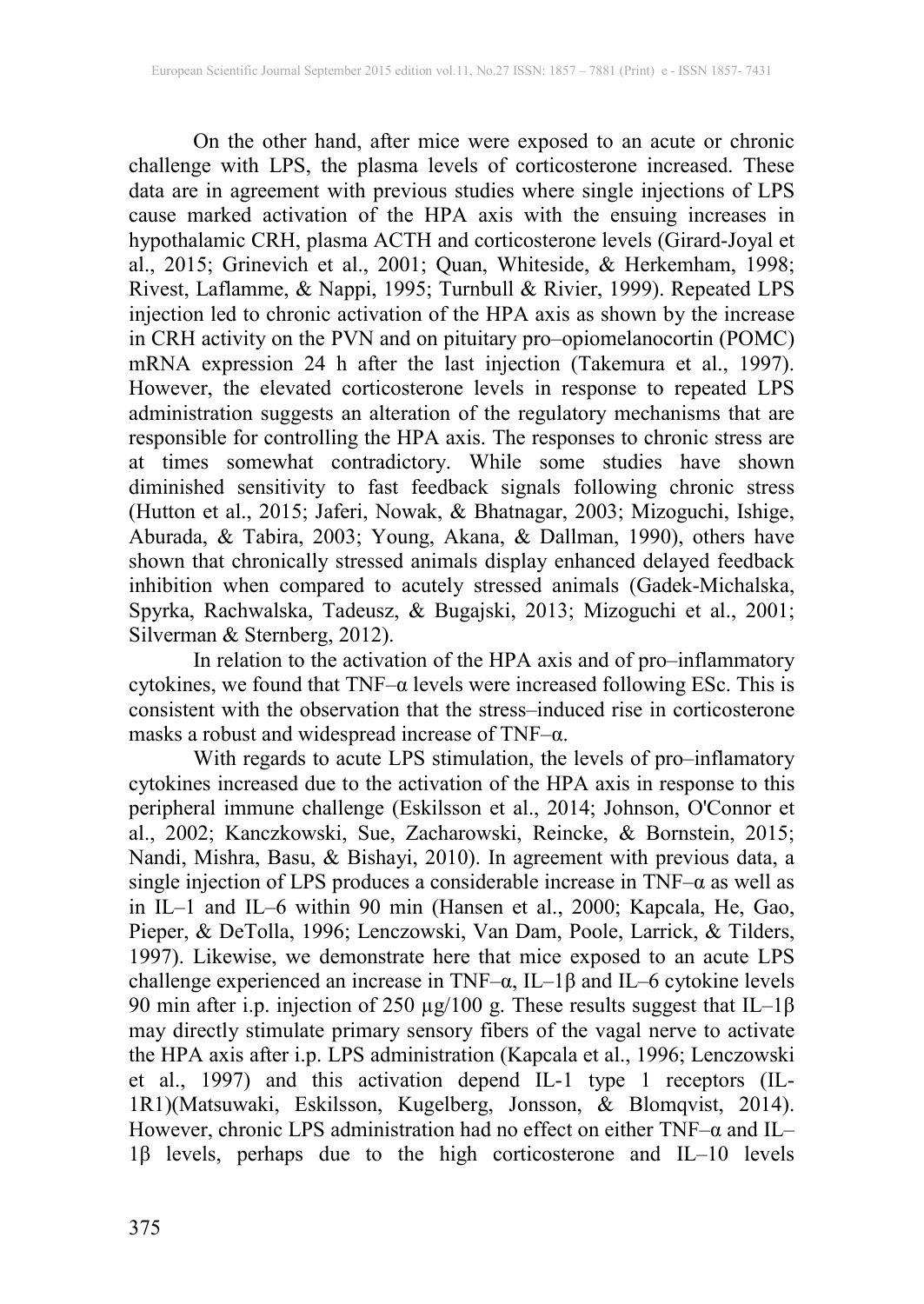On the other hand, after mice were exposed to an acute or chronic challenge with LPS, the plasma levels of corticosterone increased. These data are in agreement with previous studies where single injections of LPS cause marked activation of the HPA axis with the ensuing increases in hypothalamic CRH, plasma ACTH and corticosterone levels (Girard-Joyal et al., 2015; Grinevich et al., 2001; Quan, Whiteside, & Herkemham, 1998; Rivest, Laflamme, & Nappi, 1995; Turnbull & Rivier, 1999). Repeated LPS injection led to chronic activation of the HPA axis as shown by the increase in CRH activity on the PVN and on pituitary pro–opiomelanocortin (POMC) mRNA expression 24 h after the last injection (Takemura et al., 1997). However, the elevated corticosterone levels in response to repeated LPS administration suggests an alteration of the regulatory mechanisms that are responsible for controlling the HPA axis. The responses to chronic stress are at times somewhat contradictory. While some studies have shown diminished sensitivity to fast feedback signals following chronic stress (Hutton et al., 2015; Jaferi, Nowak, & Bhatnagar, 2003; Mizoguchi, Ishige, Aburada, & Tabira, 2003; Young, Akana, & Dallman, 1990), others have shown that chronically stressed animals display enhanced delayed feedback inhibition when compared to acutely stressed animals (Gadek-Michalska, Spyrka, Rachwalska, Tadeusz, & Bugajski, 2013; Mizoguchi et al., 2001; Silverman & Sternberg, 2012).

In relation to the activation of the HPA axis and of pro–inflammatory cytokines, we found that TNF– $\alpha$  levels were increased following ESc. This is consistent with the observation that the stress–induced rise in corticosterone masks a robust and widespread increase of TNF–α.

With regards to acute LPS stimulation, the levels of pro–inflamatory cytokines increased due to the activation of the HPA axis in response to this peripheral immune challenge (Eskilsson et al., 2014; Johnson, O'Connor et al., 2002; Kanczkowski, Sue, Zacharowski, Reincke, & Bornstein, 2015; Nandi, Mishra, Basu, & Bishayi, 2010). In agreement with previous data, a single injection of LPS produces a considerable increase in TNF–α as well as in IL–1 and IL–6 within 90 min (Hansen et al., 2000; Kapcala, He, Gao, Pieper, & DeTolla, 1996; Lenczowski, Van Dam, Poole, Larrick, & Tilders, 1997). Likewise, we demonstrate here that mice exposed to an acute LPS challenge experienced an increase in TNF– $\alpha$ , IL–1 $\beta$  and IL–6 cytokine levels 90 min after i.p. injection of 250  $\mu$ g/100 g. These results suggest that IL–1β may directly stimulate primary sensory fibers of the vagal nerve to activate the HPA axis after i.p. LPS administration (Kapcala et al., 1996; Lenczowski et al., 1997) and this activation depend IL-1 type 1 receptors (IL-1R1)(Matsuwaki, Eskilsson, Kugelberg, Jonsson, & Blomqvist, 2014). However, chronic LPS administration had no effect on either TNF–α and IL– 1β levels, perhaps due to the high corticosterone and IL–10 levels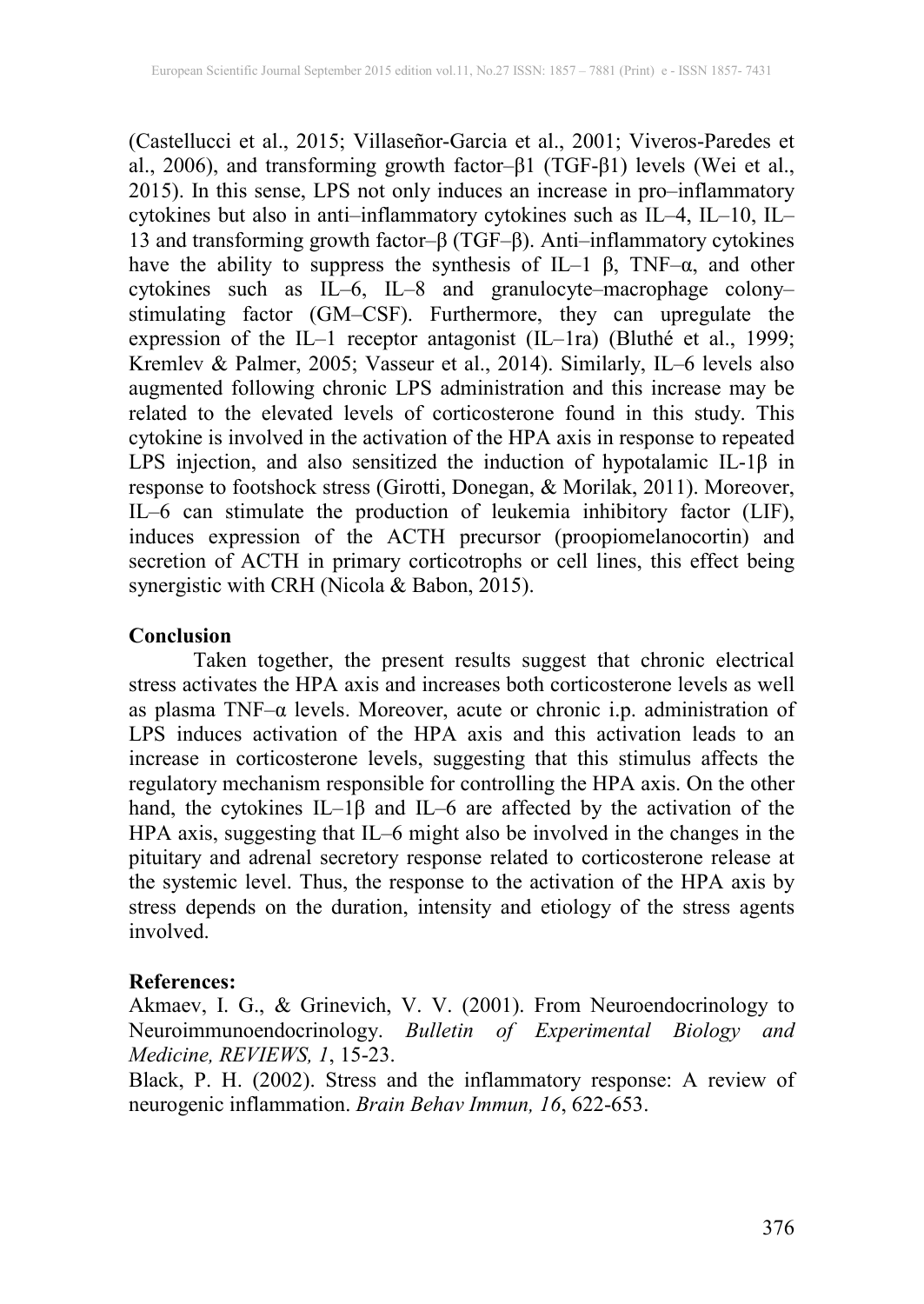(Castellucci et al., 2015; Villaseñor-Garcia et al., 2001; Viveros-Paredes et al., 2006), and transforming growth factor–β1 (TGF-β1) levels (Wei et al., 2015). In this sense, LPS not only induces an increase in pro–inflammatory cytokines but also in anti–inflammatory cytokines such as IL–4, IL–10, IL– 13 and transforming growth factor–β (TGF–β). Anti–inflammatory cytokines have the ability to suppress the synthesis of IL–1  $\beta$ , TNF– $\alpha$ , and other cytokines such as IL–6, IL–8 and granulocyte–macrophage colony– stimulating factor (GM–CSF). Furthermore, they can upregulate the expression of the IL–1 receptor antagonist (IL–1ra) (Bluthé et al., 1999; Kremlev & Palmer, 2005; Vasseur et al., 2014). Similarly, IL–6 levels also augmented following chronic LPS administration and this increase may be related to the elevated levels of corticosterone found in this study. This cytokine is involved in the activation of the HPA axis in response to repeated LPS injection, and also sensitized the induction of hypotalamic IL-1β in response to footshock stress (Girotti, Donegan, & Morilak, 2011). Moreover, IL–6 can stimulate the production of leukemia inhibitory factor (LIF), induces expression of the ACTH precursor (proopiomelanocortin) and secretion of ACTH in primary corticotrophs or cell lines, this effect being synergistic with CRH (Nicola & Babon, 2015).

### **Conclusion**

Taken together, the present results suggest that chronic electrical stress activates the HPA axis and increases both corticosterone levels as well as plasma TNF–α levels. Moreover, acute or chronic i.p. administration of LPS induces activation of the HPA axis and this activation leads to an increase in corticosterone levels, suggesting that this stimulus affects the regulatory mechanism responsible for controlling the HPA axis. On the other hand, the cytokines IL–1β and IL–6 are affected by the activation of the HPA axis, suggesting that IL–6 might also be involved in the changes in the pituitary and adrenal secretory response related to corticosterone release at the systemic level. Thus, the response to the activation of the HPA axis by stress depends on the duration, intensity and etiology of the stress agents involved.

### **References:**

Akmaev, I. G., & Grinevich, V. V. (2001). From Neuroendocrinology to Neuroimmunoendocrinology. *Bulletin of Experimental Biology and Medicine, REVIEWS, 1*, 15-23.

Black, P. H. (2002). Stress and the inflammatory response: A review of neurogenic inflammation. *Brain Behav Immun, 16*, 622-653.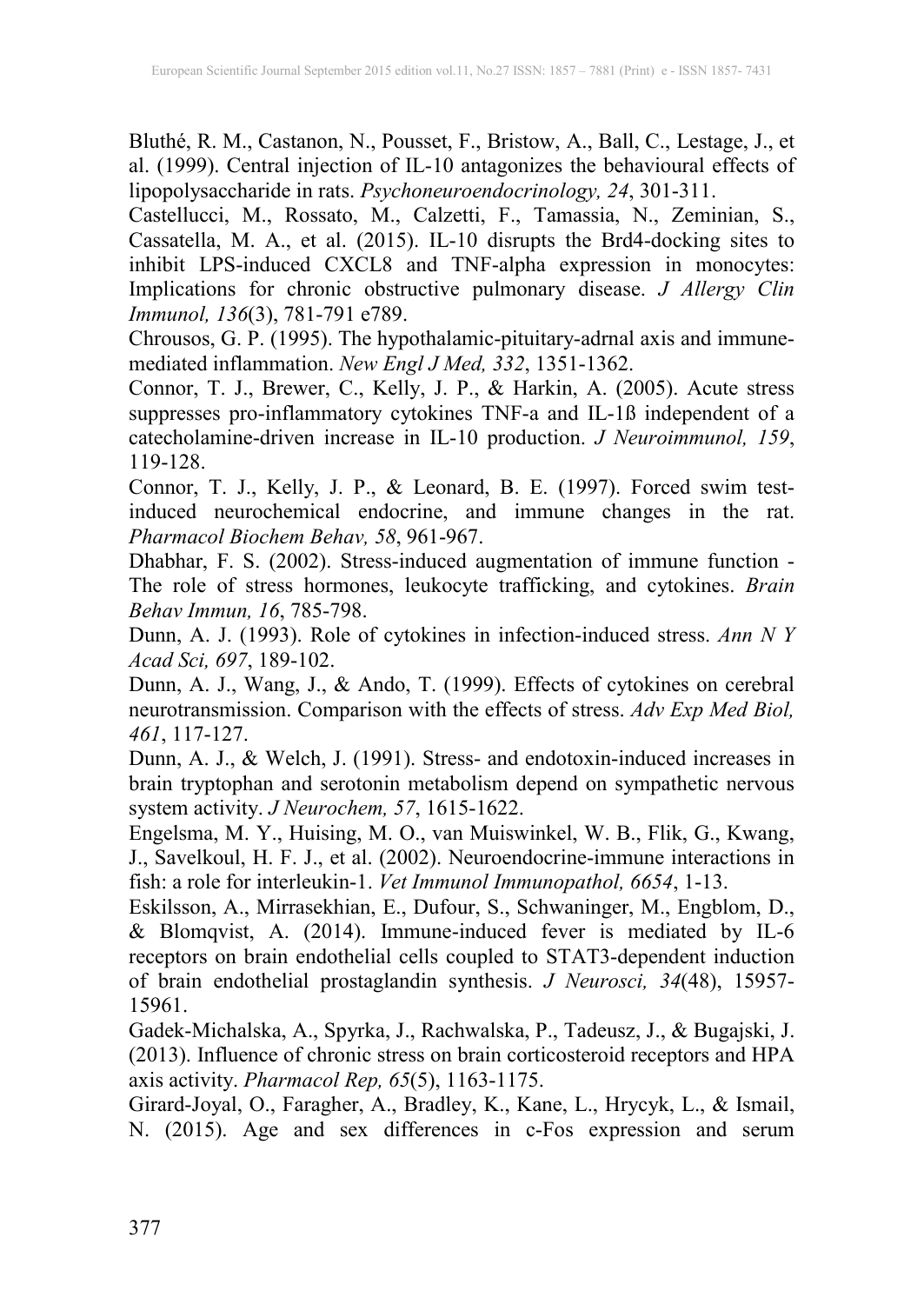Bluthé, R. M., Castanon, N., Pousset, F., Bristow, A., Ball, C., Lestage, J., et al. (1999). Central injection of IL-10 antagonizes the behavioural effects of lipopolysaccharide in rats. *Psychoneuroendocrinology, 24*, 301-311.

Castellucci, M., Rossato, M., Calzetti, F., Tamassia, N., Zeminian, S., Cassatella, M. A., et al. (2015). IL-10 disrupts the Brd4-docking sites to inhibit LPS-induced CXCL8 and TNF-alpha expression in monocytes: Implications for chronic obstructive pulmonary disease. *J Allergy Clin Immunol, 136*(3), 781-791 e789.

Chrousos, G. P. (1995). The hypothalamic-pituitary-adrnal axis and immunemediated inflammation. *New Engl J Med, 332*, 1351-1362.

Connor, T. J., Brewer, C., Kelly, J. P., & Harkin, A. (2005). Acute stress suppresses pro-inflammatory cytokines TNF-a and IL-1ß independent of a catecholamine-driven increase in IL-10 production. *J Neuroimmunol, 159*, 119-128.

Connor, T. J., Kelly, J. P., & Leonard, B. E. (1997). Forced swim testinduced neurochemical endocrine, and immune changes in the rat. *Pharmacol Biochem Behav, 58*, 961-967.

Dhabhar, F. S. (2002). Stress-induced augmentation of immune function - The role of stress hormones, leukocyte trafficking, and cytokines. *Brain Behav Immun, 16*, 785-798.

Dunn, A. J. (1993). Role of cytokines in infection-induced stress. *Ann N Y Acad Sci, 697*, 189-102.

Dunn, A. J., Wang, J., & Ando, T. (1999). Effects of cytokines on cerebral neurotransmission. Comparison with the effects of stress. *Adv Exp Med Biol, 461*, 117-127.

Dunn, A. J., & Welch, J. (1991). Stress- and endotoxin-induced increases in brain tryptophan and serotonin metabolism depend on sympathetic nervous system activity. *J Neurochem, 57*, 1615-1622.

Engelsma, M. Y., Huising, M. O., van Muiswinkel, W. B., Flik, G., Kwang, J., Savelkoul, H. F. J., et al. (2002). Neuroendocrine-immune interactions in fish: a role for interleukin-1. *Vet Immunol Immunopathol, 6654*, 1-13.

Eskilsson, A., Mirrasekhian, E., Dufour, S., Schwaninger, M., Engblom, D., & Blomqvist, A. (2014). Immune-induced fever is mediated by IL-6 receptors on brain endothelial cells coupled to STAT3-dependent induction of brain endothelial prostaglandin synthesis. *J Neurosci, 34*(48), 15957- 15961.

Gadek-Michalska, A., Spyrka, J., Rachwalska, P., Tadeusz, J., & Bugajski, J. (2013). Influence of chronic stress on brain corticosteroid receptors and HPA axis activity. *Pharmacol Rep, 65*(5), 1163-1175.

Girard-Joyal, O., Faragher, A., Bradley, K., Kane, L., Hrycyk, L., & Ismail, N. (2015). Age and sex differences in c-Fos expression and serum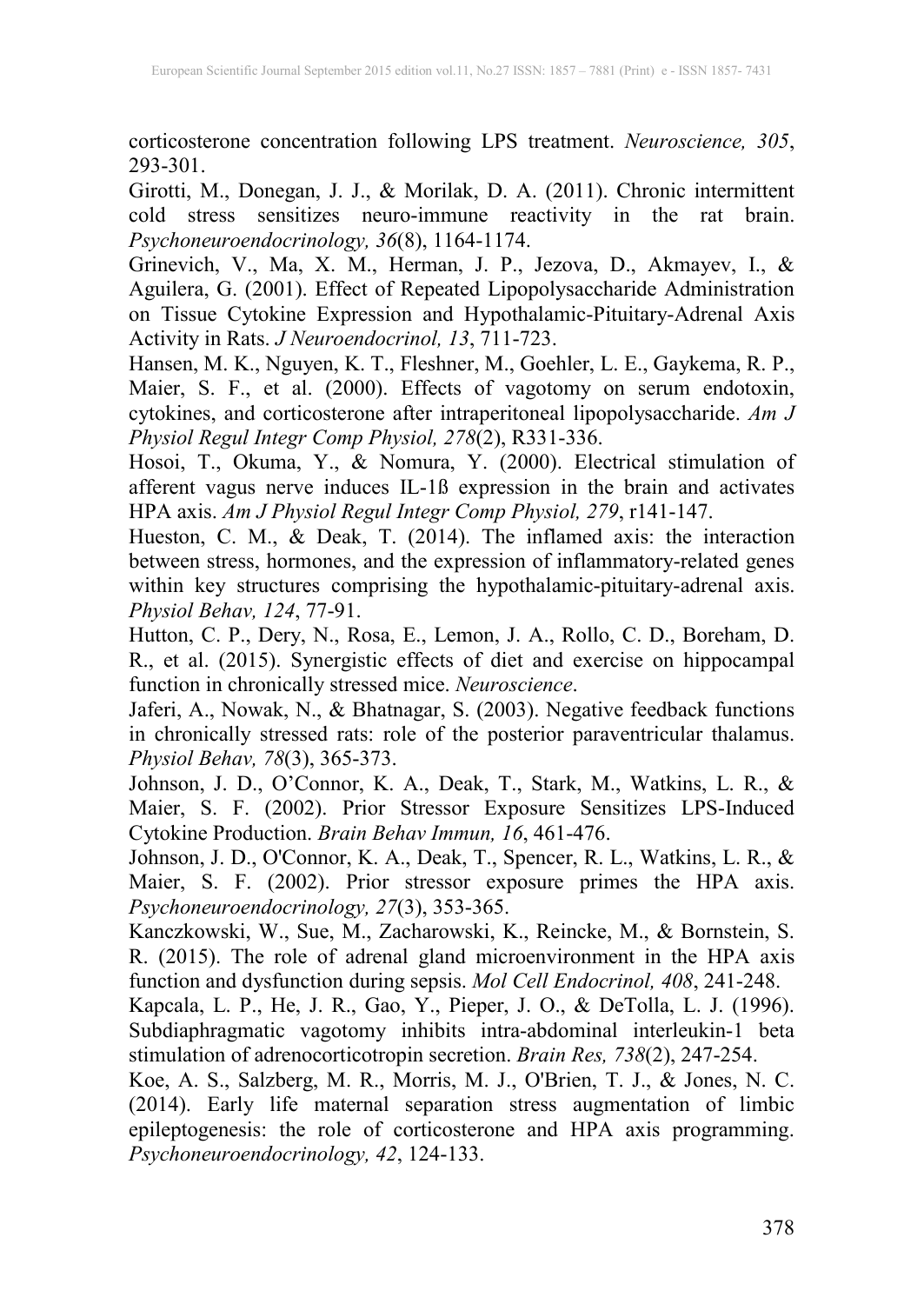corticosterone concentration following LPS treatment. *Neuroscience, 305*, 293-301.

Girotti, M., Donegan, J. J., & Morilak, D. A. (2011). Chronic intermittent cold stress sensitizes neuro-immune reactivity in the rat brain. *Psychoneuroendocrinology, 36*(8), 1164-1174.

Grinevich, V., Ma, X. M., Herman, J. P., Jezova, D., Akmayev, I., & Aguilera, G. (2001). Effect of Repeated Lipopolysaccharide Administration on Tissue Cytokine Expression and Hypothalamic-Pituitary-Adrenal Axis Activity in Rats. *J Neuroendocrinol, 13*, 711-723.

Hansen, M. K., Nguyen, K. T., Fleshner, M., Goehler, L. E., Gaykema, R. P., Maier, S. F., et al. (2000). Effects of vagotomy on serum endotoxin, cytokines, and corticosterone after intraperitoneal lipopolysaccharide. *Am J Physiol Regul Integr Comp Physiol, 278*(2), R331-336.

Hosoi, T., Okuma, Y., & Nomura, Y. (2000). Electrical stimulation of afferent vagus nerve induces IL-1ß expression in the brain and activates HPA axis. *Am J Physiol Regul Integr Comp Physiol, 279*, r141-147.

Hueston, C. M., & Deak, T. (2014). The inflamed axis: the interaction between stress, hormones, and the expression of inflammatory-related genes within key structures comprising the hypothalamic-pituitary-adrenal axis. *Physiol Behav, 124*, 77-91.

Hutton, C. P., Dery, N., Rosa, E., Lemon, J. A., Rollo, C. D., Boreham, D. R., et al. (2015). Synergistic effects of diet and exercise on hippocampal function in chronically stressed mice. *Neuroscience*.

Jaferi, A., Nowak, N., & Bhatnagar, S. (2003). Negative feedback functions in chronically stressed rats: role of the posterior paraventricular thalamus. *Physiol Behav, 78*(3), 365-373.

Johnson, J. D., O'Connor, K. A., Deak, T., Stark, M., Watkins, L. R., & Maier, S. F. (2002). Prior Stressor Exposure Sensitizes LPS-Induced Cytokine Production. *Brain Behav Immun, 16*, 461-476.

Johnson, J. D., O'Connor, K. A., Deak, T., Spencer, R. L., Watkins, L. R., & Maier, S. F. (2002). Prior stressor exposure primes the HPA axis. *Psychoneuroendocrinology, 27*(3), 353-365.

Kanczkowski, W., Sue, M., Zacharowski, K., Reincke, M., & Bornstein, S. R. (2015). The role of adrenal gland microenvironment in the HPA axis function and dysfunction during sepsis. *Mol Cell Endocrinol, 408*, 241-248.

Kapcala, L. P., He, J. R., Gao, Y., Pieper, J. O., & DeTolla, L. J. (1996). Subdiaphragmatic vagotomy inhibits intra-abdominal interleukin-1 beta stimulation of adrenocorticotropin secretion. *Brain Res, 738*(2), 247-254.

Koe, A. S., Salzberg, M. R., Morris, M. J., O'Brien, T. J., & Jones, N. C. (2014). Early life maternal separation stress augmentation of limbic epileptogenesis: the role of corticosterone and HPA axis programming. *Psychoneuroendocrinology, 42*, 124-133.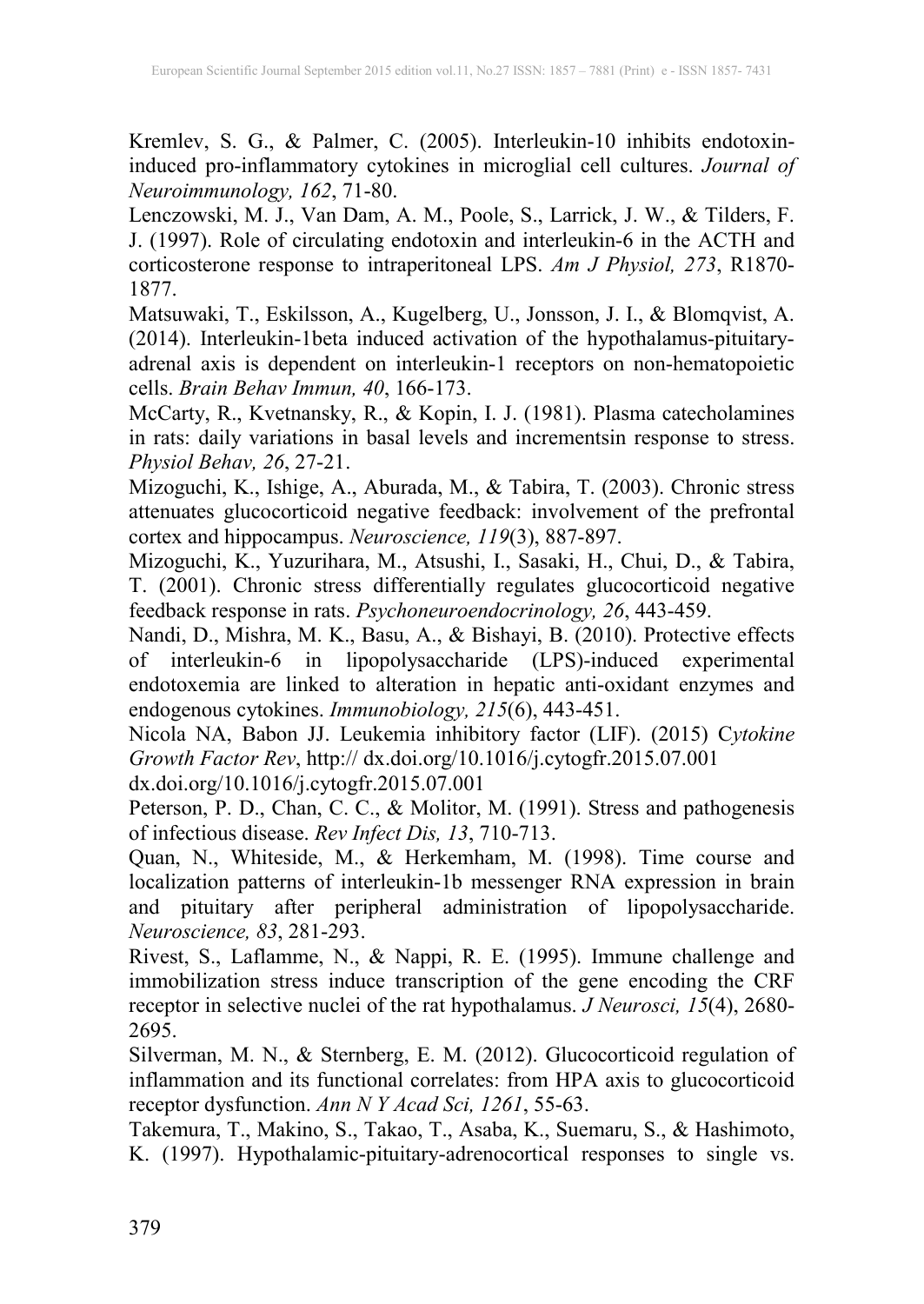Kremlev, S. G., & Palmer, C. (2005). Interleukin-10 inhibits endotoxininduced pro-inflammatory cytokines in microglial cell cultures. *Journal of Neuroimmunology, 162*, 71-80.

Lenczowski, M. J., Van Dam, A. M., Poole, S., Larrick, J. W., & Tilders, F. J. (1997). Role of circulating endotoxin and interleukin-6 in the ACTH and corticosterone response to intraperitoneal LPS. *Am J Physiol, 273*, R1870- 1877.

Matsuwaki, T., Eskilsson, A., Kugelberg, U., Jonsson, J. I., & Blomqvist, A. (2014). Interleukin-1beta induced activation of the hypothalamus-pituitaryadrenal axis is dependent on interleukin-1 receptors on non-hematopoietic cells. *Brain Behav Immun, 40*, 166-173.

McCarty, R., Kvetnansky, R., & Kopin, I. J. (1981). Plasma catecholamines in rats: daily variations in basal levels and incrementsin response to stress. *Physiol Behav, 26*, 27-21.

Mizoguchi, K., Ishige, A., Aburada, M., & Tabira, T. (2003). Chronic stress attenuates glucocorticoid negative feedback: involvement of the prefrontal cortex and hippocampus. *Neuroscience, 119*(3), 887-897.

Mizoguchi, K., Yuzurihara, M., Atsushi, I., Sasaki, H., Chui, D., & Tabira, T. (2001). Chronic stress differentially regulates glucocorticoid negative feedback response in rats. *Psychoneuroendocrinology, 26*, 443-459.

Nandi, D., Mishra, M. K., Basu, A., & Bishayi, B. (2010). Protective effects of interleukin-6 in lipopolysaccharide (LPS)-induced experimental endotoxemia are linked to alteration in hepatic anti-oxidant enzymes and endogenous cytokines. *Immunobiology, 215*(6), 443-451.

Nicola NA, Babon JJ. Leukemia inhibitory factor (LIF). (2015) C*ytokine Growth Factor Rev*, http:// dx.doi.org/10.1016/j.cytogfr.2015.07.001

dx.doi.org/10.1016/j.cytogfr.2015.07.001

Peterson, P. D., Chan, C. C., & Molitor, M. (1991). Stress and pathogenesis of infectious disease. *Rev Infect Dis, 13*, 710-713.

Quan, N., Whiteside, M., & Herkemham, M. (1998). Time course and localization patterns of interleukin-1b messenger RNA expression in brain and pituitary after peripheral administration of lipopolysaccharide. *Neuroscience, 83*, 281-293.

Rivest, S., Laflamme, N., & Nappi, R. E. (1995). Immune challenge and immobilization stress induce transcription of the gene encoding the CRF receptor in selective nuclei of the rat hypothalamus. *J Neurosci, 15*(4), 2680- 2695.

Silverman, M. N., & Sternberg, E. M. (2012). Glucocorticoid regulation of inflammation and its functional correlates: from HPA axis to glucocorticoid receptor dysfunction. *Ann N Y Acad Sci, 1261*, 55-63.

Takemura, T., Makino, S., Takao, T., Asaba, K., Suemaru, S., & Hashimoto, K. (1997). Hypothalamic-pituitary-adrenocortical responses to single vs.